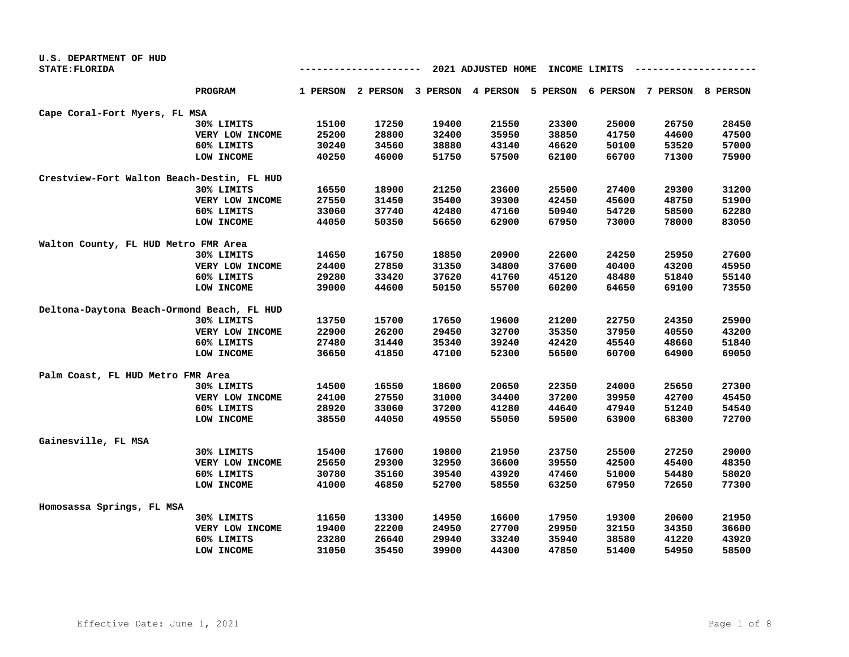| U.S. DEPARTMENT OF HUD                     |                 |                                                |       |       |                                                                         |       |       |       |       |
|--------------------------------------------|-----------------|------------------------------------------------|-------|-------|-------------------------------------------------------------------------|-------|-------|-------|-------|
| STATE: FLORIDA                             |                 | 2021 ADJUSTED HOME<br>INCOME LIMITS<br>------- |       |       |                                                                         |       |       |       |       |
|                                            | <b>PROGRAM</b>  |                                                |       |       | 1 PERSON 2 PERSON 3 PERSON 4 PERSON 5 PERSON 6 PERSON 7 PERSON 8 PERSON |       |       |       |       |
| Cape Coral-Fort Myers, FL MSA              |                 |                                                |       |       |                                                                         |       |       |       |       |
|                                            | 30% LIMITS      | 15100                                          | 17250 | 19400 | 21550                                                                   | 23300 | 25000 | 26750 | 28450 |
|                                            | VERY LOW INCOME | 25200                                          | 28800 | 32400 | 35950                                                                   | 38850 | 41750 | 44600 | 47500 |
|                                            | 60% LIMITS      | 30240                                          | 34560 | 38880 | 43140                                                                   | 46620 | 50100 | 53520 | 57000 |
|                                            | LOW INCOME      | 40250                                          | 46000 | 51750 | 57500                                                                   | 62100 | 66700 | 71300 | 75900 |
| Crestview-Fort Walton Beach-Destin, FL HUD |                 |                                                |       |       |                                                                         |       |       |       |       |
|                                            | 30% LIMITS      | 16550                                          | 18900 | 21250 | 23600                                                                   | 25500 | 27400 | 29300 | 31200 |
|                                            | VERY LOW INCOME | 27550                                          | 31450 | 35400 | 39300                                                                   | 42450 | 45600 | 48750 | 51900 |
|                                            | 60% LIMITS      | 33060                                          | 37740 | 42480 | 47160                                                                   | 50940 | 54720 | 58500 | 62280 |
|                                            | LOW INCOME      | 44050                                          | 50350 | 56650 | 62900                                                                   | 67950 | 73000 | 78000 | 83050 |
| Walton County, FL HUD Metro FMR Area       |                 |                                                |       |       |                                                                         |       |       |       |       |
|                                            | 30% LIMITS      | 14650                                          | 16750 | 18850 | 20900                                                                   | 22600 | 24250 | 25950 | 27600 |
|                                            | VERY LOW INCOME | 24400                                          | 27850 | 31350 | 34800                                                                   | 37600 | 40400 | 43200 | 45950 |
|                                            | 60% LIMITS      | 29280                                          | 33420 | 37620 | 41760                                                                   | 45120 | 48480 | 51840 | 55140 |
|                                            | LOW INCOME      | 39000                                          | 44600 | 50150 | 55700                                                                   | 60200 | 64650 | 69100 | 73550 |
| Deltona-Daytona Beach-Ormond Beach, FL HUD |                 |                                                |       |       |                                                                         |       |       |       |       |
|                                            | 30% LIMITS      | 13750                                          | 15700 | 17650 | 19600                                                                   | 21200 | 22750 | 24350 | 25900 |
|                                            | VERY LOW INCOME | 22900                                          | 26200 | 29450 | 32700                                                                   | 35350 | 37950 | 40550 | 43200 |
|                                            | 60% LIMITS      | 27480                                          | 31440 | 35340 | 39240                                                                   | 42420 | 45540 | 48660 | 51840 |
|                                            | LOW INCOME      | 36650                                          | 41850 | 47100 | 52300                                                                   | 56500 | 60700 | 64900 | 69050 |
| Palm Coast, FL HUD Metro FMR Area          |                 |                                                |       |       |                                                                         |       |       |       |       |
|                                            | 30% LIMITS      | 14500                                          | 16550 | 18600 | 20650                                                                   | 22350 | 24000 | 25650 | 27300 |
|                                            | VERY LOW INCOME | 24100                                          | 27550 | 31000 | 34400                                                                   | 37200 | 39950 | 42700 | 45450 |
|                                            | 60% LIMITS      | 28920                                          | 33060 | 37200 | 41280                                                                   | 44640 | 47940 | 51240 | 54540 |
|                                            | LOW INCOME      | 38550                                          | 44050 | 49550 | 55050                                                                   | 59500 | 63900 | 68300 | 72700 |
| Gainesville, FL MSA                        |                 |                                                |       |       |                                                                         |       |       |       |       |
|                                            | 30% LIMITS      | 15400                                          | 17600 | 19800 | 21950                                                                   | 23750 | 25500 | 27250 | 29000 |
|                                            | VERY LOW INCOME | 25650                                          | 29300 | 32950 | 36600                                                                   | 39550 | 42500 | 45400 | 48350 |
|                                            | 60% LIMITS      | 30780                                          | 35160 | 39540 | 43920                                                                   | 47460 | 51000 | 54480 | 58020 |
|                                            | LOW INCOME      | 41000                                          | 46850 | 52700 | 58550                                                                   | 63250 | 67950 | 72650 | 77300 |
| Homosassa Springs, FL MSA                  |                 |                                                |       |       |                                                                         |       |       |       |       |
|                                            | 30% LIMITS      | 11650                                          | 13300 | 14950 | 16600                                                                   | 17950 | 19300 | 20600 | 21950 |
|                                            | VERY LOW INCOME | 19400                                          | 22200 | 24950 | 27700                                                                   | 29950 | 32150 | 34350 | 36600 |
|                                            | 60% LIMITS      | 23280                                          | 26640 | 29940 | 33240                                                                   | 35940 | 38580 | 41220 | 43920 |
|                                            | LOW INCOME      | 31050                                          | 35450 | 39900 | 44300                                                                   | 47850 | 51400 | 54950 | 58500 |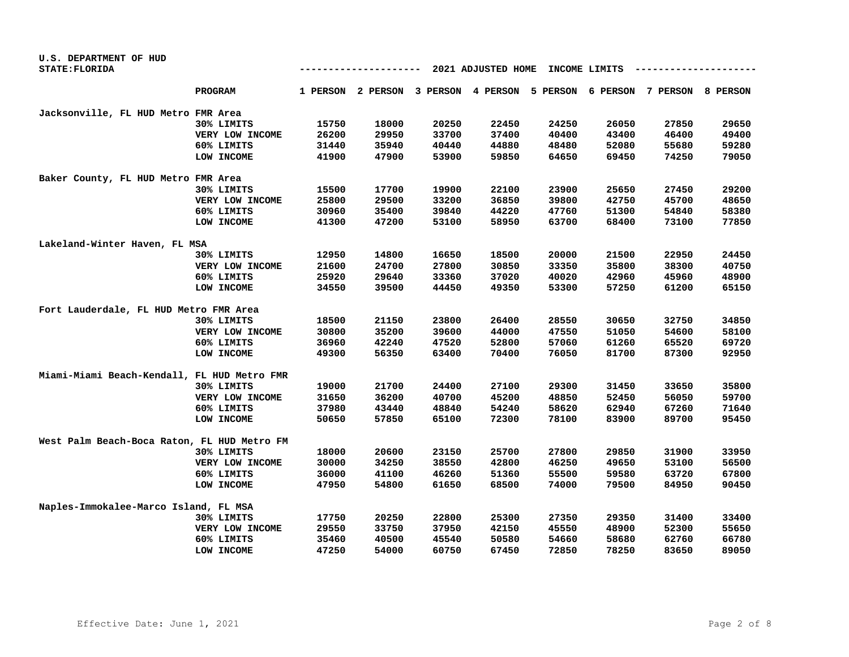| U.S. DEPARTMENT OF HUD                      |                 |                                     |       |                                     |       |       |       |                                     |       |
|---------------------------------------------|-----------------|-------------------------------------|-------|-------------------------------------|-------|-------|-------|-------------------------------------|-------|
| STATE: FLORIDA                              |                 | 2021 ADJUSTED HOME<br>INCOME LIMITS |       |                                     |       |       |       |                                     |       |
|                                             | <b>PROGRAM</b>  |                                     |       | 1 PERSON 2 PERSON 3 PERSON 4 PERSON |       |       |       | 5 PERSON 6 PERSON 7 PERSON 8 PERSON |       |
| Jacksonville, FL HUD Metro FMR Area         |                 |                                     |       |                                     |       |       |       |                                     |       |
|                                             | 30% LIMITS      | 15750                               | 18000 | 20250                               | 22450 | 24250 | 26050 | 27850                               | 29650 |
|                                             | VERY LOW INCOME | 26200                               | 29950 | 33700                               | 37400 | 40400 | 43400 | 46400                               | 49400 |
|                                             | 60% LIMITS      | 31440                               | 35940 | 40440                               | 44880 | 48480 | 52080 | 55680                               | 59280 |
|                                             | LOW INCOME      | 41900                               | 47900 | 53900                               | 59850 | 64650 | 69450 | 74250                               | 79050 |
| Baker County, FL HUD Metro FMR Area         |                 |                                     |       |                                     |       |       |       |                                     |       |
|                                             | 30% LIMITS      | 15500                               | 17700 | 19900                               | 22100 | 23900 | 25650 | 27450                               | 29200 |
|                                             | VERY LOW INCOME | 25800                               | 29500 | 33200                               | 36850 | 39800 | 42750 | 45700                               | 48650 |
|                                             | 60% LIMITS      | 30960                               | 35400 | 39840                               | 44220 | 47760 | 51300 | 54840                               | 58380 |
|                                             | LOW INCOME      | 41300                               | 47200 | 53100                               | 58950 | 63700 | 68400 | 73100                               | 77850 |
| Lakeland-Winter Haven, FL MSA               |                 |                                     |       |                                     |       |       |       |                                     |       |
|                                             | 30% LIMITS      | 12950                               | 14800 | 16650                               | 18500 | 20000 | 21500 | 22950                               | 24450 |
|                                             | VERY LOW INCOME | 21600                               | 24700 | 27800                               | 30850 | 33350 | 35800 | 38300                               | 40750 |
|                                             | 60% LIMITS      | 25920                               | 29640 | 33360                               | 37020 | 40020 | 42960 | 45960                               | 48900 |
|                                             | LOW INCOME      | 34550                               | 39500 | 44450                               | 49350 | 53300 | 57250 | 61200                               | 65150 |
| Fort Lauderdale, FL HUD Metro FMR Area      |                 |                                     |       |                                     |       |       |       |                                     |       |
|                                             | 30% LIMITS      | 18500                               | 21150 | 23800                               | 26400 | 28550 | 30650 | 32750                               | 34850 |
|                                             | VERY LOW INCOME | 30800                               | 35200 | 39600                               | 44000 | 47550 | 51050 | 54600                               | 58100 |
|                                             | 60% LIMITS      | 36960                               | 42240 | 47520                               | 52800 | 57060 | 61260 | 65520                               | 69720 |
|                                             | LOW INCOME      | 49300                               | 56350 | 63400                               | 70400 | 76050 | 81700 | 87300                               | 92950 |
| Miami-Miami Beach-Kendall, FL HUD Metro FMR |                 |                                     |       |                                     |       |       |       |                                     |       |
|                                             | 30% LIMITS      | 19000                               | 21700 | 24400                               | 27100 | 29300 | 31450 | 33650                               | 35800 |
|                                             | VERY LOW INCOME | 31650                               | 36200 | 40700                               | 45200 | 48850 | 52450 | 56050                               | 59700 |
|                                             | 60% LIMITS      | 37980                               | 43440 | 48840                               | 54240 | 58620 | 62940 | 67260                               | 71640 |
|                                             | LOW INCOME      | 50650                               | 57850 | 65100                               | 72300 | 78100 | 83900 | 89700                               | 95450 |
| West Palm Beach-Boca Raton, FL HUD Metro FM |                 |                                     |       |                                     |       |       |       |                                     |       |
|                                             | 30% LIMITS      | 18000                               | 20600 | 23150                               | 25700 | 27800 | 29850 | 31900                               | 33950 |
|                                             | VERY LOW INCOME | 30000                               | 34250 | 38550                               | 42800 | 46250 | 49650 | 53100                               | 56500 |
|                                             | 60% LIMITS      | 36000                               | 41100 | 46260                               | 51360 | 55500 | 59580 | 63720                               | 67800 |
|                                             | LOW INCOME      | 47950                               | 54800 | 61650                               | 68500 | 74000 | 79500 | 84950                               | 90450 |
| Naples-Immokalee-Marco Island, FL MSA       |                 |                                     |       |                                     |       |       |       |                                     |       |
|                                             | 30% LIMITS      | 17750                               | 20250 | 22800                               | 25300 | 27350 | 29350 | 31400                               | 33400 |
|                                             | VERY LOW INCOME | 29550                               | 33750 | 37950                               | 42150 | 45550 | 48900 | 52300                               | 55650 |
|                                             | 60% LIMITS      | 35460                               | 40500 | 45540                               | 50580 | 54660 | 58680 | 62760                               | 66780 |
|                                             | LOW INCOME      | 47250                               | 54000 | 60750                               | 67450 | 72850 | 78250 | 83650                               | 89050 |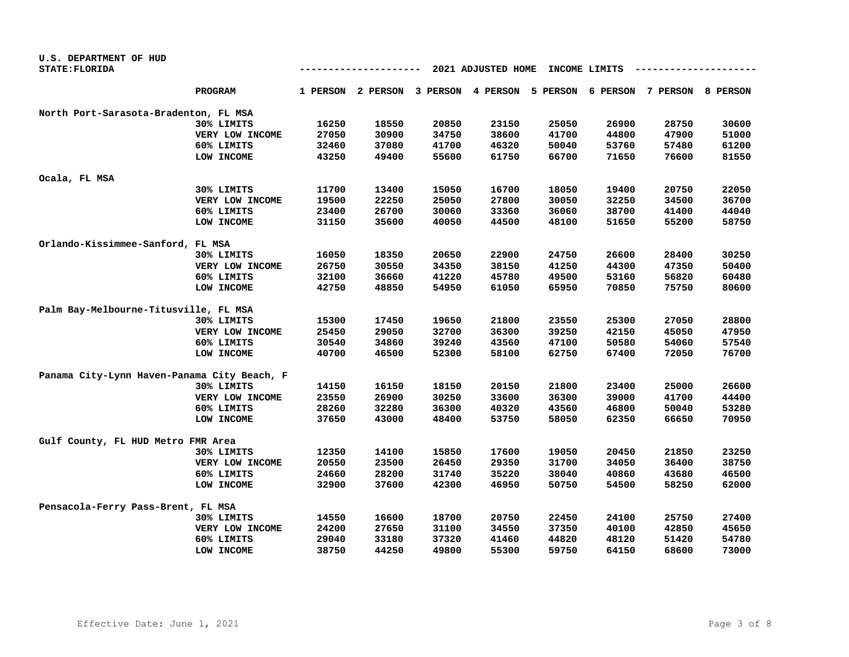| U.S. DEPARTMENT OF HUD                      |                 |       |                                     |               |       |       |       |                                     |       |
|---------------------------------------------|-----------------|-------|-------------------------------------|---------------|-------|-------|-------|-------------------------------------|-------|
| STATE: FLORIDA                              |                 |       |                                     | INCOME LIMITS |       |       |       |                                     |       |
|                                             | <b>PROGRAM</b>  |       | 1 PERSON 2 PERSON 3 PERSON 4 PERSON |               |       |       |       | 5 PERSON 6 PERSON 7 PERSON 8 PERSON |       |
| North Port-Sarasota-Bradenton, FL MSA       |                 |       |                                     |               |       |       |       |                                     |       |
|                                             | 30% LIMITS      | 16250 | 18550                               | 20850         | 23150 | 25050 | 26900 | 28750                               | 30600 |
|                                             | VERY LOW INCOME | 27050 | 30900                               | 34750         | 38600 | 41700 | 44800 | 47900                               | 51000 |
|                                             | 60% LIMITS      | 32460 | 37080                               | 41700         | 46320 | 50040 | 53760 | 57480                               | 61200 |
|                                             | LOW INCOME      | 43250 | 49400                               | 55600         | 61750 | 66700 | 71650 | 76600                               | 81550 |
| Ocala, FL MSA                               |                 |       |                                     |               |       |       |       |                                     |       |
|                                             | 30% LIMITS      | 11700 | 13400                               | 15050         | 16700 | 18050 | 19400 | 20750                               | 22050 |
|                                             | VERY LOW INCOME | 19500 | 22250                               | 25050         | 27800 | 30050 | 32250 | 34500                               | 36700 |
|                                             | 60% LIMITS      | 23400 | 26700                               | 30060         | 33360 | 36060 | 38700 | 41400                               | 44040 |
|                                             | LOW INCOME      | 31150 | 35600                               | 40050         | 44500 | 48100 | 51650 | 55200                               | 58750 |
| Orlando-Kissimmee-Sanford, FL MSA           |                 |       |                                     |               |       |       |       |                                     |       |
|                                             | 30% LIMITS      | 16050 | 18350                               | 20650         | 22900 | 24750 | 26600 | 28400                               | 30250 |
|                                             | VERY LOW INCOME | 26750 | 30550                               | 34350         | 38150 | 41250 | 44300 | 47350                               | 50400 |
|                                             | 60% LIMITS      | 32100 | 36660                               | 41220         | 45780 | 49500 | 53160 | 56820                               | 60480 |
|                                             | LOW INCOME      | 42750 | 48850                               | 54950         | 61050 | 65950 | 70850 | 75750                               | 80600 |
| Palm Bay-Melbourne-Titusville, FL MSA       |                 |       |                                     |               |       |       |       |                                     |       |
|                                             | 30% LIMITS      | 15300 | 17450                               | 19650         | 21800 | 23550 | 25300 | 27050                               | 28800 |
|                                             | VERY LOW INCOME | 25450 | 29050                               | 32700         | 36300 | 39250 | 42150 | 45050                               | 47950 |
|                                             | 60% LIMITS      | 30540 | 34860                               | 39240         | 43560 | 47100 | 50580 | 54060                               | 57540 |
|                                             | LOW INCOME      | 40700 | 46500                               | 52300         | 58100 | 62750 | 67400 | 72050                               | 76700 |
| Panama City-Lynn Haven-Panama City Beach, F |                 |       |                                     |               |       |       |       |                                     |       |
|                                             | 30% LIMITS      | 14150 | 16150                               | 18150         | 20150 | 21800 | 23400 | 25000                               | 26600 |
|                                             | VERY LOW INCOME | 23550 | 26900                               | 30250         | 33600 | 36300 | 39000 | 41700                               | 44400 |
|                                             | 60% LIMITS      | 28260 | 32280                               | 36300         | 40320 | 43560 | 46800 | 50040                               | 53280 |
|                                             | LOW INCOME      | 37650 | 43000                               | 48400         | 53750 | 58050 | 62350 | 66650                               | 70950 |
| Gulf County, FL HUD Metro FMR Area          |                 |       |                                     |               |       |       |       |                                     |       |
|                                             | 30% LIMITS      | 12350 | 14100                               | 15850         | 17600 | 19050 | 20450 | 21850                               | 23250 |
|                                             | VERY LOW INCOME | 20550 | 23500                               | 26450         | 29350 | 31700 | 34050 | 36400                               | 38750 |
|                                             | 60% LIMITS      | 24660 | 28200                               | 31740         | 35220 | 38040 | 40860 | 43680                               | 46500 |
|                                             | LOW INCOME      | 32900 | 37600                               | 42300         | 46950 | 50750 | 54500 | 58250                               | 62000 |
| Pensacola-Ferry Pass-Brent, FL MSA          |                 |       |                                     |               |       |       |       |                                     |       |
|                                             | 30% LIMITS      | 14550 | 16600                               | 18700         | 20750 | 22450 | 24100 | 25750                               | 27400 |
|                                             | VERY LOW INCOME | 24200 | 27650                               | 31100         | 34550 | 37350 | 40100 | 42850                               | 45650 |
|                                             | 60% LIMITS      | 29040 | 33180                               | 37320         | 41460 | 44820 | 48120 | 51420                               | 54780 |
|                                             | LOW INCOME      | 38750 | 44250                               | 49800         | 55300 | 59750 | 64150 | 68600                               | 73000 |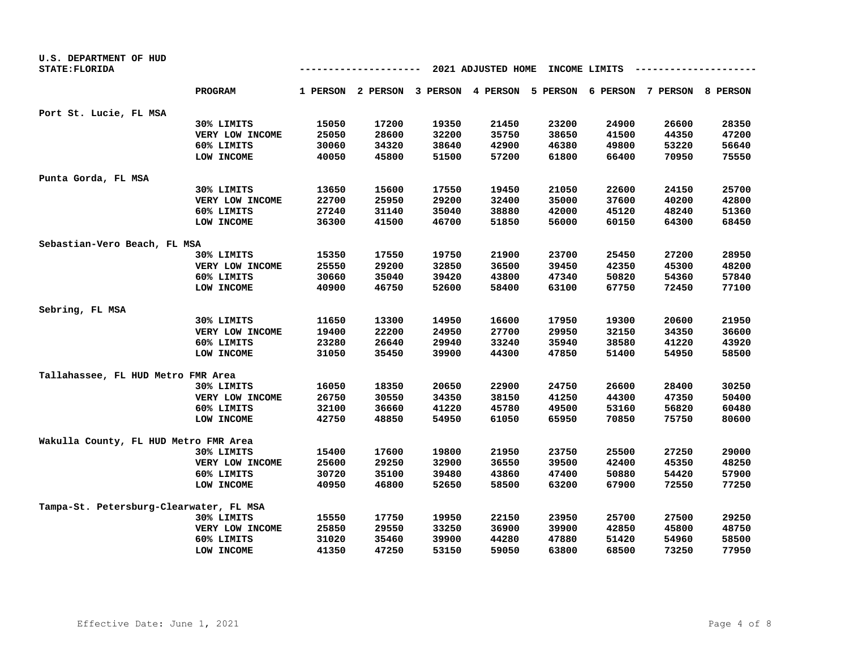| U.S. DEPARTMENT OF HUD<br>STATE: FLORIDA |                 |       |       | --    | 2021 ADJUSTED HOME |       | INCOME LIMITS |                                                                         |       |
|------------------------------------------|-----------------|-------|-------|-------|--------------------|-------|---------------|-------------------------------------------------------------------------|-------|
|                                          | <b>PROGRAM</b>  |       |       |       |                    |       |               | 1 PERSON 2 PERSON 3 PERSON 4 PERSON 5 PERSON 6 PERSON 7 PERSON 8 PERSON |       |
| Port St. Lucie, FL MSA                   |                 |       |       |       |                    |       |               |                                                                         |       |
|                                          | 30% LIMITS      | 15050 | 17200 | 19350 | 21450              | 23200 | 24900         | 26600                                                                   | 28350 |
|                                          | VERY LOW INCOME | 25050 | 28600 | 32200 | 35750              | 38650 | 41500         | 44350                                                                   | 47200 |
|                                          | 60% LIMITS      | 30060 | 34320 | 38640 | 42900              | 46380 | 49800         | 53220                                                                   | 56640 |
|                                          | LOW INCOME      | 40050 | 45800 | 51500 | 57200              | 61800 | 66400         | 70950                                                                   | 75550 |
| Punta Gorda, FL MSA                      |                 |       |       |       |                    |       |               |                                                                         |       |
|                                          | 30% LIMITS      | 13650 | 15600 | 17550 | 19450              | 21050 | 22600         | 24150                                                                   | 25700 |
|                                          | VERY LOW INCOME | 22700 | 25950 | 29200 | 32400              | 35000 | 37600         | 40200                                                                   | 42800 |
|                                          | 60% LIMITS      | 27240 | 31140 | 35040 | 38880              | 42000 | 45120         | 48240                                                                   | 51360 |
|                                          | LOW INCOME      | 36300 | 41500 | 46700 | 51850              | 56000 | 60150         | 64300                                                                   | 68450 |
| Sebastian-Vero Beach, FL MSA             |                 |       |       |       |                    |       |               |                                                                         |       |
|                                          | 30% LIMITS      | 15350 | 17550 | 19750 | 21900              | 23700 | 25450         | 27200                                                                   | 28950 |
|                                          | VERY LOW INCOME | 25550 | 29200 | 32850 | 36500              | 39450 | 42350         | 45300                                                                   | 48200 |
|                                          | 60% LIMITS      | 30660 | 35040 | 39420 | 43800              | 47340 | 50820         | 54360                                                                   | 57840 |
|                                          | LOW INCOME      | 40900 | 46750 | 52600 | 58400              | 63100 | 67750         | 72450                                                                   | 77100 |
| Sebring, FL MSA                          |                 |       |       |       |                    |       |               |                                                                         |       |
|                                          | 30% LIMITS      | 11650 | 13300 | 14950 | 16600              | 17950 | 19300         | 20600                                                                   | 21950 |
|                                          | VERY LOW INCOME | 19400 | 22200 | 24950 | 27700              | 29950 | 32150         | 34350                                                                   | 36600 |
|                                          | 60% LIMITS      | 23280 | 26640 | 29940 | 33240              | 35940 | 38580         | 41220                                                                   | 43920 |
|                                          | LOW INCOME      | 31050 | 35450 | 39900 | 44300              | 47850 | 51400         | 54950                                                                   | 58500 |
| Tallahassee, FL HUD Metro FMR Area       |                 |       |       |       |                    |       |               |                                                                         |       |
|                                          | 30% LIMITS      | 16050 | 18350 | 20650 | 22900              | 24750 | 26600         | 28400                                                                   | 30250 |
|                                          | VERY LOW INCOME | 26750 | 30550 | 34350 | 38150              | 41250 | 44300         | 47350                                                                   | 50400 |
|                                          | 60% LIMITS      | 32100 | 36660 | 41220 | 45780              | 49500 | 53160         | 56820                                                                   | 60480 |
|                                          | LOW INCOME      | 42750 | 48850 | 54950 | 61050              | 65950 | 70850         | 75750                                                                   | 80600 |
| Wakulla County, FL HUD Metro FMR Area    |                 |       |       |       |                    |       |               |                                                                         |       |
|                                          | 30% LIMITS      | 15400 | 17600 | 19800 | 21950              | 23750 | 25500         | 27250                                                                   | 29000 |
|                                          | VERY LOW INCOME | 25600 | 29250 | 32900 | 36550              | 39500 | 42400         | 45350                                                                   | 48250 |
|                                          | 60% LIMITS      | 30720 | 35100 | 39480 | 43860              | 47400 | 50880         | 54420                                                                   | 57900 |
|                                          | LOW INCOME      | 40950 | 46800 | 52650 | 58500              | 63200 | 67900         | 72550                                                                   | 77250 |
| Tampa-St. Petersburg-Clearwater, FL MSA  |                 |       |       |       |                    |       |               |                                                                         |       |
|                                          | 30% LIMITS      | 15550 | 17750 | 19950 | 22150              | 23950 | 25700         | 27500                                                                   | 29250 |
|                                          | VERY LOW INCOME | 25850 | 29550 | 33250 | 36900              | 39900 | 42850         | 45800                                                                   | 48750 |
|                                          | 60% LIMITS      | 31020 | 35460 | 39900 | 44280              | 47880 | 51420         | 54960                                                                   | 58500 |
|                                          | LOW INCOME      | 41350 | 47250 | 53150 | 59050              | 63800 | 68500         | 73250                                                                   | 77950 |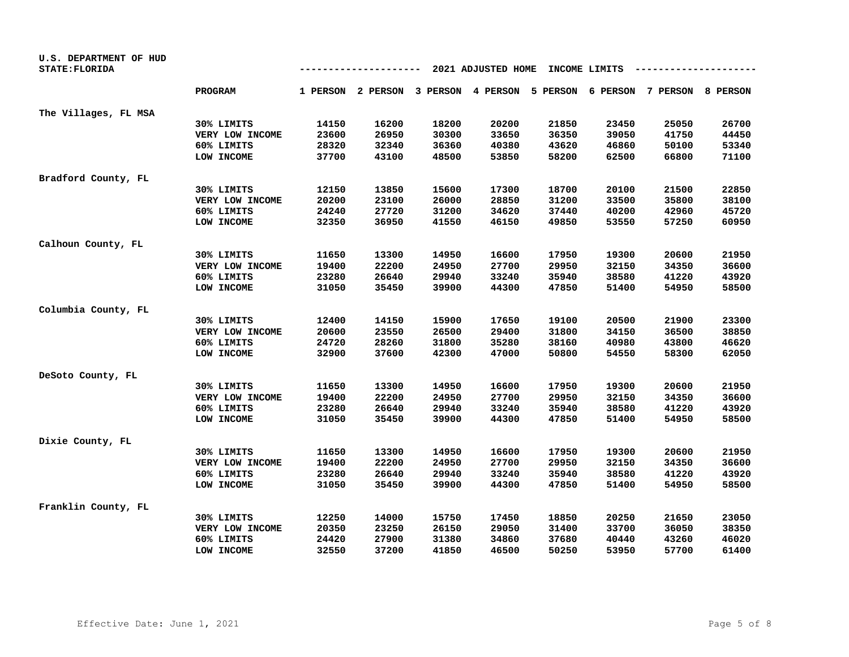| U.S. DEPARTMENT OF HUD<br>STATE: FLORIDA |                 |       |       | ---   | 2021 ADJUSTED HOME |       | INCOME LIMITS |                                                                         |       |
|------------------------------------------|-----------------|-------|-------|-------|--------------------|-------|---------------|-------------------------------------------------------------------------|-------|
|                                          | <b>PROGRAM</b>  |       |       |       |                    |       |               | 1 PERSON 2 PERSON 3 PERSON 4 PERSON 5 PERSON 6 PERSON 7 PERSON 8 PERSON |       |
| The Villages, FL MSA                     |                 |       |       |       |                    |       |               |                                                                         |       |
|                                          | 30% LIMITS      | 14150 | 16200 | 18200 | 20200              | 21850 | 23450         | 25050                                                                   | 26700 |
|                                          | VERY LOW INCOME | 23600 | 26950 | 30300 | 33650              | 36350 | 39050         | 41750                                                                   | 44450 |
|                                          | 60% LIMITS      | 28320 | 32340 | 36360 | 40380              | 43620 | 46860         | 50100                                                                   | 53340 |
|                                          | LOW INCOME      | 37700 | 43100 | 48500 | 53850              | 58200 | 62500         | 66800                                                                   | 71100 |
| Bradford County, FL                      |                 |       |       |       |                    |       |               |                                                                         |       |
|                                          | 30% LIMITS      | 12150 | 13850 | 15600 | 17300              | 18700 | 20100         | 21500                                                                   | 22850 |
|                                          | VERY LOW INCOME | 20200 | 23100 | 26000 | 28850              | 31200 | 33500         | 35800                                                                   | 38100 |
|                                          | 60% LIMITS      | 24240 | 27720 | 31200 | 34620              | 37440 | 40200         | 42960                                                                   | 45720 |
|                                          | LOW INCOME      | 32350 | 36950 | 41550 | 46150              | 49850 | 53550         | 57250                                                                   | 60950 |
| Calhoun County, FL                       |                 |       |       |       |                    |       |               |                                                                         |       |
|                                          | 30% LIMITS      | 11650 | 13300 | 14950 | 16600              | 17950 | 19300         | 20600                                                                   | 21950 |
|                                          | VERY LOW INCOME | 19400 | 22200 | 24950 | 27700              | 29950 | 32150         | 34350                                                                   | 36600 |
|                                          | 60% LIMITS      | 23280 | 26640 | 29940 | 33240              | 35940 | 38580         | 41220                                                                   | 43920 |
|                                          | LOW INCOME      | 31050 | 35450 | 39900 | 44300              | 47850 | 51400         | 54950                                                                   | 58500 |
| Columbia County, FL                      |                 |       |       |       |                    |       |               |                                                                         |       |
|                                          | 30% LIMITS      | 12400 | 14150 | 15900 | 17650              | 19100 | 20500         | 21900                                                                   | 23300 |
|                                          | VERY LOW INCOME | 20600 | 23550 | 26500 | 29400              | 31800 | 34150         | 36500                                                                   | 38850 |
|                                          | 60% LIMITS      | 24720 | 28260 | 31800 | 35280              | 38160 | 40980         | 43800                                                                   | 46620 |
|                                          | LOW INCOME      | 32900 | 37600 | 42300 | 47000              | 50800 | 54550         | 58300                                                                   | 62050 |
| DeSoto County, FL                        |                 |       |       |       |                    |       |               |                                                                         |       |
|                                          | 30% LIMITS      | 11650 | 13300 | 14950 | 16600              | 17950 | 19300         | 20600                                                                   | 21950 |
|                                          | VERY LOW INCOME | 19400 | 22200 | 24950 | 27700              | 29950 | 32150         | 34350                                                                   | 36600 |
|                                          | 60% LIMITS      | 23280 | 26640 | 29940 | 33240              | 35940 | 38580         | 41220                                                                   | 43920 |
|                                          | LOW INCOME      | 31050 | 35450 | 39900 | 44300              | 47850 | 51400         | 54950                                                                   | 58500 |
| Dixie County, FL                         |                 |       |       |       |                    |       |               |                                                                         |       |
|                                          | 30% LIMITS      | 11650 | 13300 | 14950 | 16600              | 17950 | 19300         | 20600                                                                   | 21950 |
|                                          | VERY LOW INCOME | 19400 | 22200 | 24950 | 27700              | 29950 | 32150         | 34350                                                                   | 36600 |
|                                          | 60% LIMITS      | 23280 | 26640 | 29940 | 33240              | 35940 | 38580         | 41220                                                                   | 43920 |
|                                          | LOW INCOME      | 31050 | 35450 | 39900 | 44300              | 47850 | 51400         | 54950                                                                   | 58500 |
| Franklin County, FL                      |                 |       |       |       |                    |       |               |                                                                         |       |
|                                          | 30% LIMITS      | 12250 | 14000 | 15750 | 17450              | 18850 | 20250         | 21650                                                                   | 23050 |
|                                          | VERY LOW INCOME | 20350 | 23250 | 26150 | 29050              | 31400 | 33700         | 36050                                                                   | 38350 |
|                                          | 60% LIMITS      | 24420 | 27900 | 31380 | 34860              | 37680 | 40440         | 43260                                                                   | 46020 |
|                                          | LOW INCOME      | 32550 | 37200 | 41850 | 46500              | 50250 | 53950         | 57700                                                                   | 61400 |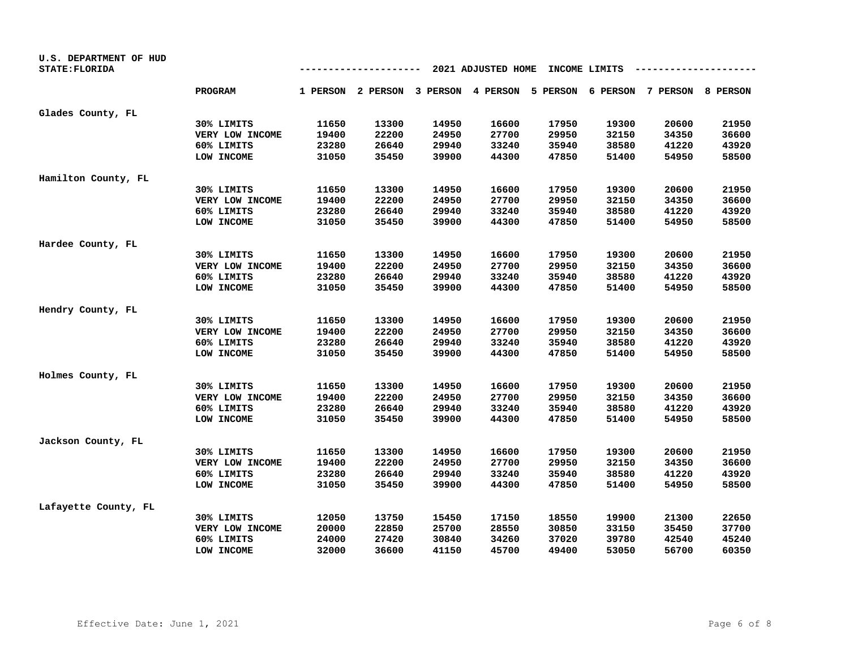| U.S. DEPARTMENT OF HUD<br>STATE: FLORIDA |                 |       |       | ---   | 2021 ADJUSTED HOME |       | INCOME LIMITS |                                                                         |       |
|------------------------------------------|-----------------|-------|-------|-------|--------------------|-------|---------------|-------------------------------------------------------------------------|-------|
|                                          | <b>PROGRAM</b>  |       |       |       |                    |       |               | 1 PERSON 2 PERSON 3 PERSON 4 PERSON 5 PERSON 6 PERSON 7 PERSON 8 PERSON |       |
| Glades County, FL                        |                 |       |       |       |                    |       |               |                                                                         |       |
|                                          | 30% LIMITS      | 11650 | 13300 | 14950 | 16600              | 17950 | 19300         | 20600                                                                   | 21950 |
|                                          | VERY LOW INCOME | 19400 | 22200 | 24950 | 27700              | 29950 | 32150         | 34350                                                                   | 36600 |
|                                          | 60% LIMITS      | 23280 | 26640 | 29940 | 33240              | 35940 | 38580         | 41220                                                                   | 43920 |
|                                          | LOW INCOME      | 31050 | 35450 | 39900 | 44300              | 47850 | 51400         | 54950                                                                   | 58500 |
| Hamilton County, FL                      |                 |       |       |       |                    |       |               |                                                                         |       |
|                                          | 30% LIMITS      | 11650 | 13300 | 14950 | 16600              | 17950 | 19300         | 20600                                                                   | 21950 |
|                                          | VERY LOW INCOME | 19400 | 22200 | 24950 | 27700              | 29950 | 32150         | 34350                                                                   | 36600 |
|                                          | 60% LIMITS      | 23280 | 26640 | 29940 | 33240              | 35940 | 38580         | 41220                                                                   | 43920 |
|                                          | LOW INCOME      | 31050 | 35450 | 39900 | 44300              | 47850 | 51400         | 54950                                                                   | 58500 |
| Hardee County, FL                        |                 |       |       |       |                    |       |               |                                                                         |       |
|                                          | 30% LIMITS      | 11650 | 13300 | 14950 | 16600              | 17950 | 19300         | 20600                                                                   | 21950 |
|                                          | VERY LOW INCOME | 19400 | 22200 | 24950 | 27700              | 29950 | 32150         | 34350                                                                   | 36600 |
|                                          | 60% LIMITS      | 23280 | 26640 | 29940 | 33240              | 35940 | 38580         | 41220                                                                   | 43920 |
|                                          | LOW INCOME      | 31050 | 35450 | 39900 | 44300              | 47850 | 51400         | 54950                                                                   | 58500 |
| Hendry County, FL                        |                 |       |       |       |                    |       |               |                                                                         |       |
|                                          | 30% LIMITS      | 11650 | 13300 | 14950 | 16600              | 17950 | 19300         | 20600                                                                   | 21950 |
|                                          | VERY LOW INCOME | 19400 | 22200 | 24950 | 27700              | 29950 | 32150         | 34350                                                                   | 36600 |
|                                          | 60% LIMITS      | 23280 | 26640 | 29940 | 33240              | 35940 | 38580         | 41220                                                                   | 43920 |
|                                          | LOW INCOME      | 31050 | 35450 | 39900 | 44300              | 47850 | 51400         | 54950                                                                   | 58500 |
| Holmes County, FL                        |                 |       |       |       |                    |       |               |                                                                         |       |
|                                          | 30% LIMITS      | 11650 | 13300 | 14950 | 16600              | 17950 | 19300         | 20600                                                                   | 21950 |
|                                          | VERY LOW INCOME | 19400 | 22200 | 24950 | 27700              | 29950 | 32150         | 34350                                                                   | 36600 |
|                                          | 60% LIMITS      | 23280 | 26640 | 29940 | 33240              | 35940 | 38580         | 41220                                                                   | 43920 |
|                                          | LOW INCOME      | 31050 | 35450 | 39900 | 44300              | 47850 | 51400         | 54950                                                                   | 58500 |
| Jackson County, FL                       |                 |       |       |       |                    |       |               |                                                                         |       |
|                                          | 30% LIMITS      | 11650 | 13300 | 14950 | 16600              | 17950 | 19300         | 20600                                                                   | 21950 |
|                                          | VERY LOW INCOME | 19400 | 22200 | 24950 | 27700              | 29950 | 32150         | 34350                                                                   | 36600 |
|                                          | 60% LIMITS      | 23280 | 26640 | 29940 | 33240              | 35940 | 38580         | 41220                                                                   | 43920 |
|                                          | LOW INCOME      | 31050 | 35450 | 39900 | 44300              | 47850 | 51400         | 54950                                                                   | 58500 |
| Lafayette County, FL                     |                 |       |       |       |                    |       |               |                                                                         |       |
|                                          | 30% LIMITS      | 12050 | 13750 | 15450 | 17150              | 18550 | 19900         | 21300                                                                   | 22650 |
|                                          | VERY LOW INCOME | 20000 | 22850 | 25700 | 28550              | 30850 | 33150         | 35450                                                                   | 37700 |
|                                          | 60% LIMITS      | 24000 | 27420 | 30840 | 34260              | 37020 | 39780         | 42540                                                                   | 45240 |
|                                          | LOW INCOME      | 32000 | 36600 | 41150 | 45700              | 49400 | 53050         | 56700                                                                   | 60350 |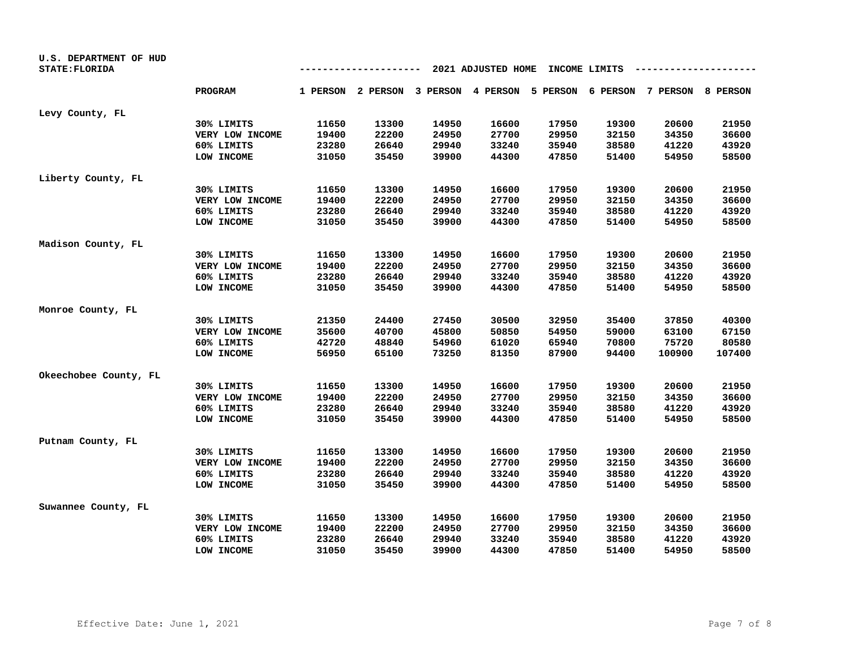| U.S. DEPARTMENT OF HUD<br>STATE: FLORIDA |                 |       | -------- |       | 2021 ADJUSTED HOME |       | INCOME LIMITS |                                                                         |        |
|------------------------------------------|-----------------|-------|----------|-------|--------------------|-------|---------------|-------------------------------------------------------------------------|--------|
|                                          | <b>PROGRAM</b>  |       |          |       |                    |       |               | 1 PERSON 2 PERSON 3 PERSON 4 PERSON 5 PERSON 6 PERSON 7 PERSON 8 PERSON |        |
| Levy County, FL                          |                 |       |          |       |                    |       |               |                                                                         |        |
|                                          | 30% LIMITS      | 11650 | 13300    | 14950 | 16600              | 17950 | 19300         | 20600                                                                   | 21950  |
|                                          | VERY LOW INCOME | 19400 | 22200    | 24950 | 27700              | 29950 | 32150         | 34350                                                                   | 36600  |
|                                          | 60% LIMITS      | 23280 | 26640    | 29940 | 33240              | 35940 | 38580         | 41220                                                                   | 43920  |
|                                          | LOW INCOME      | 31050 | 35450    | 39900 | 44300              | 47850 | 51400         | 54950                                                                   | 58500  |
| Liberty County, FL                       |                 |       |          |       |                    |       |               |                                                                         |        |
|                                          | 30% LIMITS      | 11650 | 13300    | 14950 | 16600              | 17950 | 19300         | 20600                                                                   | 21950  |
|                                          | VERY LOW INCOME | 19400 | 22200    | 24950 | 27700              | 29950 | 32150         | 34350                                                                   | 36600  |
|                                          | 60% LIMITS      | 23280 | 26640    | 29940 | 33240              | 35940 | 38580         | 41220                                                                   | 43920  |
|                                          | LOW INCOME      | 31050 | 35450    | 39900 | 44300              | 47850 | 51400         | 54950                                                                   | 58500  |
| Madison County, FL                       |                 |       |          |       |                    |       |               |                                                                         |        |
|                                          | 30% LIMITS      | 11650 | 13300    | 14950 | 16600              | 17950 | 19300         | 20600                                                                   | 21950  |
|                                          | VERY LOW INCOME | 19400 | 22200    | 24950 | 27700              | 29950 | 32150         | 34350                                                                   | 36600  |
|                                          | 60% LIMITS      | 23280 | 26640    | 29940 | 33240              | 35940 | 38580         | 41220                                                                   | 43920  |
|                                          | LOW INCOME      | 31050 | 35450    | 39900 | 44300              | 47850 | 51400         | 54950                                                                   | 58500  |
| Monroe County, FL                        |                 |       |          |       |                    |       |               |                                                                         |        |
|                                          | 30% LIMITS      | 21350 | 24400    | 27450 | 30500              | 32950 | 35400         | 37850                                                                   | 40300  |
|                                          | VERY LOW INCOME | 35600 | 40700    | 45800 | 50850              | 54950 | 59000         | 63100                                                                   | 67150  |
|                                          | 60% LIMITS      | 42720 | 48840    | 54960 | 61020              | 65940 | 70800         | 75720                                                                   | 80580  |
|                                          | LOW INCOME      | 56950 | 65100    | 73250 | 81350              | 87900 | 94400         | 100900                                                                  | 107400 |
| Okeechobee County, FL                    |                 |       |          |       |                    |       |               |                                                                         |        |
|                                          | 30% LIMITS      | 11650 | 13300    | 14950 | 16600              | 17950 | 19300         | 20600                                                                   | 21950  |
|                                          | VERY LOW INCOME | 19400 | 22200    | 24950 | 27700              | 29950 | 32150         | 34350                                                                   | 36600  |
|                                          | 60% LIMITS      | 23280 | 26640    | 29940 | 33240              | 35940 | 38580         | 41220                                                                   | 43920  |
|                                          | LOW INCOME      | 31050 | 35450    | 39900 | 44300              | 47850 | 51400         | 54950                                                                   | 58500  |
| Putnam County, FL                        |                 |       |          |       |                    |       |               |                                                                         |        |
|                                          | 30% LIMITS      | 11650 | 13300    | 14950 | 16600              | 17950 | 19300         | 20600                                                                   | 21950  |
|                                          | VERY LOW INCOME | 19400 | 22200    | 24950 | 27700              | 29950 | 32150         | 34350                                                                   | 36600  |
|                                          | 60% LIMITS      | 23280 | 26640    | 29940 | 33240              | 35940 | 38580         | 41220                                                                   | 43920  |
|                                          | LOW INCOME      | 31050 | 35450    | 39900 | 44300              | 47850 | 51400         | 54950                                                                   | 58500  |
| Suwannee County, FL                      |                 |       |          |       |                    |       |               |                                                                         |        |
|                                          | 30% LIMITS      | 11650 | 13300    | 14950 | 16600              | 17950 | 19300         | 20600                                                                   | 21950  |
|                                          | VERY LOW INCOME | 19400 | 22200    | 24950 | 27700              | 29950 | 32150         | 34350                                                                   | 36600  |
|                                          | 60% LIMITS      | 23280 | 26640    | 29940 | 33240              | 35940 | 38580         | 41220                                                                   | 43920  |
|                                          | LOW INCOME      | 31050 | 35450    | 39900 | 44300              | 47850 | 51400         | 54950                                                                   | 58500  |